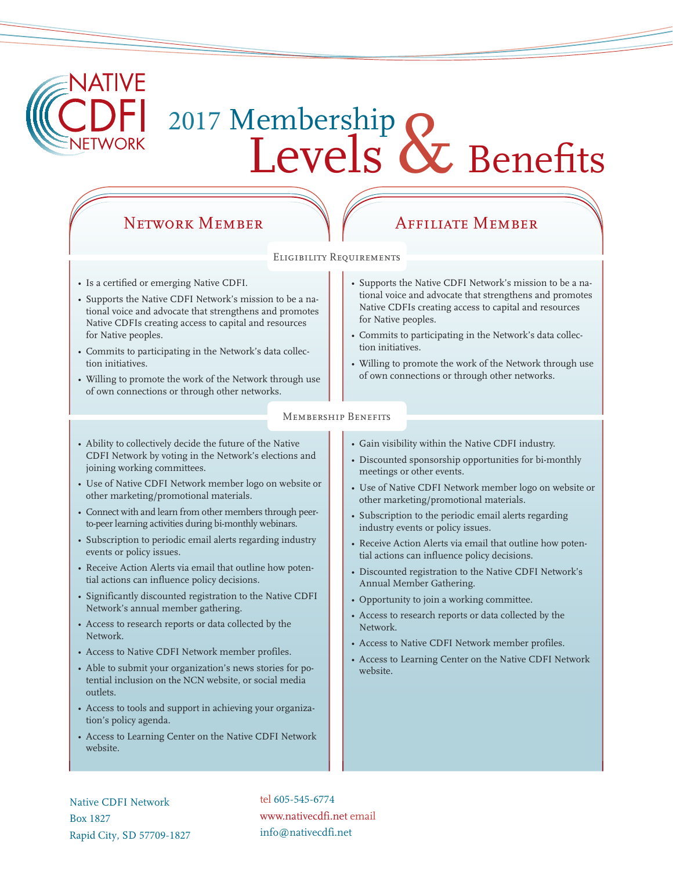

# 2017 Membership<br>Levels & Benefits

# NETWORK MEMBER WAFFILIATE MEMBER

### Eligibility Requirements

- Is a certified or emerging Native CDFI.
- Supports the Native CDFI Network's mission to be a national voice and advocate that strengthens and promotes Native CDFIs creating access to capital and resources for Native peoples.
- Commits to participating in the Network's data collection initiatives.
- Willing to promote the work of the Network through use of own connections or through other networks.
- Supports the Native CDFI Network's mission to be a national voice and advocate that strengthens and promotes Native CDFIs creating access to capital and resources for Native peoples.
- Commits to participating in the Network's data collection initiatives.
- Willing to promote the work of the Network through use of own connections or through other networks.

### Membership Benefits

- Ability to collectively decide the future of the Native CDFI Network by voting in the Network's elections and joining working committees.
- Use of Native CDFI Network member logo on website or other marketing/promotional materials.
- Connect with and learn from other members through peerto-peer learning activities during bi-monthly webinars.
- Subscription to periodic email alerts regarding industry events or policy issues.
- Receive Action Alerts via email that outline how potential actions can influence policy decisions.
- Significantly discounted registration to the Native CDFI Network's annual member gathering.
- Access to research reports or data collected by the Network.
- Access to Native CDFI Network member profiles.
- Able to submit your organization's news stories for potential inclusion on the NCN website, or social media outlets.
- Access to tools and support in achieving your organization's policy agenda.
- Access to Learning Center on the Native CDFI Network website.
- Gain visibility within the Native CDFI industry.
- Discounted sponsorship opportunities for bi-monthly meetings or other events.
- Use of Native CDFI Network member logo on website or other marketing/promotional materials.
- Subscription to the periodic email alerts regarding industry events or policy issues.
- Receive Action Alerts via email that outline how potential actions can influence policy decisions.
- Discounted registration to the Native CDFI Network's Annual Member Gathering.
- Opportunity to join a working committee.
- Access to research reports or data collected by the Network.
- Access to Native CDFI Network member profiles.
- Access to Learning Center on the Native CDFI Network website.

Native CDFI Network Box 1827 Rapid City, SD 57709-1827 tel 605-545-6774 www.nativecdfi.net email info@nativecdfi.net